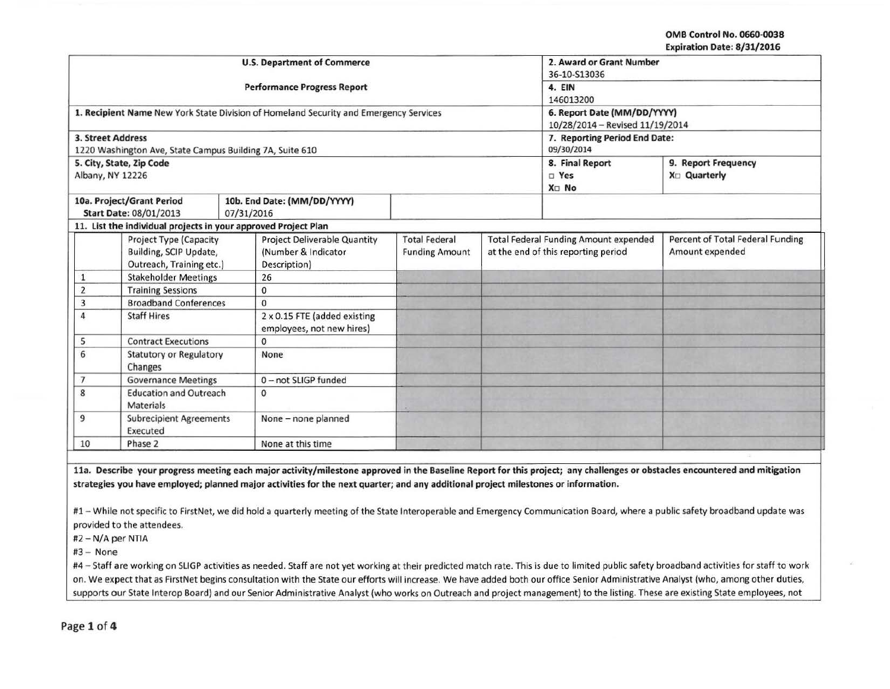OMB Control No. 0660-0038 Expiration Date: 8/31/2016

|                   |                                                                |            | <b>U.S. Department of Commerce</b>                                                    |                       | 2. Award or Grant Number<br>36-10-S13036     |                                  |
|-------------------|----------------------------------------------------------------|------------|---------------------------------------------------------------------------------------|-----------------------|----------------------------------------------|----------------------------------|
|                   |                                                                |            | <b>Performance Progress Report</b>                                                    |                       | 4. EIN                                       |                                  |
|                   |                                                                |            |                                                                                       |                       | 146013200                                    |                                  |
|                   |                                                                |            | 1. Recipient Name New York State Division of Homeland Security and Emergency Services |                       | 6. Report Date (MM/DD/YYYY)                  |                                  |
|                   |                                                                |            |                                                                                       |                       | 10/28/2014 - Revised 11/19/2014              |                                  |
| 3. Street Address |                                                                |            |                                                                                       |                       | 7. Reporting Period End Date:                |                                  |
|                   | 1220 Washington Ave, State Campus Building 7A, Suite 610       |            |                                                                                       |                       | 09/30/2014                                   |                                  |
|                   | 5. City, State, Zip Code                                       |            |                                                                                       |                       | 8. Final Report                              | 9. Report Frequency              |
| Albany, NY 12226  |                                                                |            |                                                                                       |                       | □ Yes                                        | X <sub>D</sub> Quarterly         |
|                   |                                                                |            |                                                                                       |                       | X <sub>D</sub> No                            |                                  |
|                   | 10a. Project/Grant Period                                      |            | 10b. End Date: (MM/DD/YYYY)                                                           |                       |                                              |                                  |
|                   | Start Date: 08/01/2013                                         | 07/31/2016 |                                                                                       |                       |                                              |                                  |
|                   | 11. List the individual projects in your approved Project Plan |            |                                                                                       |                       |                                              |                                  |
|                   | <b>Project Type (Capacity</b>                                  |            | <b>Project Deliverable Quantity</b>                                                   | <b>Total Federal</b>  | <b>Total Federal Funding Amount expended</b> | Percent of Total Federal Funding |
|                   | Building, SCIP Update,                                         |            | (Number & Indicator                                                                   | <b>Funding Amount</b> | at the end of this reporting period          | Amount expended                  |
|                   | Outreach, Training etc.)                                       |            | Description)                                                                          |                       |                                              |                                  |
| $\mathbf{1}$      | <b>Stakeholder Meetings</b>                                    |            | 26                                                                                    |                       |                                              |                                  |
| $\overline{2}$    | <b>Training Sessions</b>                                       |            | $\mathbf 0$                                                                           |                       |                                              |                                  |
| 3                 | <b>Broadband Conferences</b>                                   |            | $\Omega$                                                                              |                       |                                              |                                  |
| 4                 | <b>Staff Hires</b>                                             |            | 2 x 0.15 FTE (added existing<br>employees, not new hires)                             |                       |                                              |                                  |
| 5                 | <b>Contract Executions</b>                                     |            | $\mathbf 0$                                                                           |                       |                                              |                                  |
| 6                 | <b>Statutory or Regulatory</b><br>Changes                      |            | None                                                                                  |                       |                                              |                                  |
| 7                 | <b>Governance Meetings</b>                                     |            | 0-not SLIGP funded                                                                    |                       |                                              |                                  |
| 8                 | <b>Education and Outreach</b><br><b>Materials</b>              |            | 0                                                                                     |                       |                                              |                                  |
| 9                 | <b>Subrecipient Agreements</b><br>Executed                     |            | None - none planned                                                                   |                       |                                              |                                  |
| 10                | Phase 2                                                        |            | None at this time                                                                     |                       |                                              |                                  |

lla. Describe your progress meeting each major activity/milestone approved in the Baseline Report for this project; any challenges or obstacles encountered and mitigation strategies you have employed; planned major activities for the next quarter; and any additional project milestones or information.

#1 - While not specific to FirstNet, we did hold a quarterly meeting of the State Interoperable and Emergency Communication Board, where a public safety broadband update was provided to the attendees.

#2 - N/A per NTIA

 $#3 - None$ 

#4 - Staff are working on SLIGP activities as needed. Staff are not yet working at their predicted match rate. This is due to limited public safety broadband activities for staff to work on. We expect that as FirstNet begins consultation with the State our efforts will increase. We have added both our office Senior Administrative Analyst (who, among other duties, supports our State lnterop Board) and our Senior Administrative Analyst (who works on Outreach and project management) to the listing. These are existing State employees, not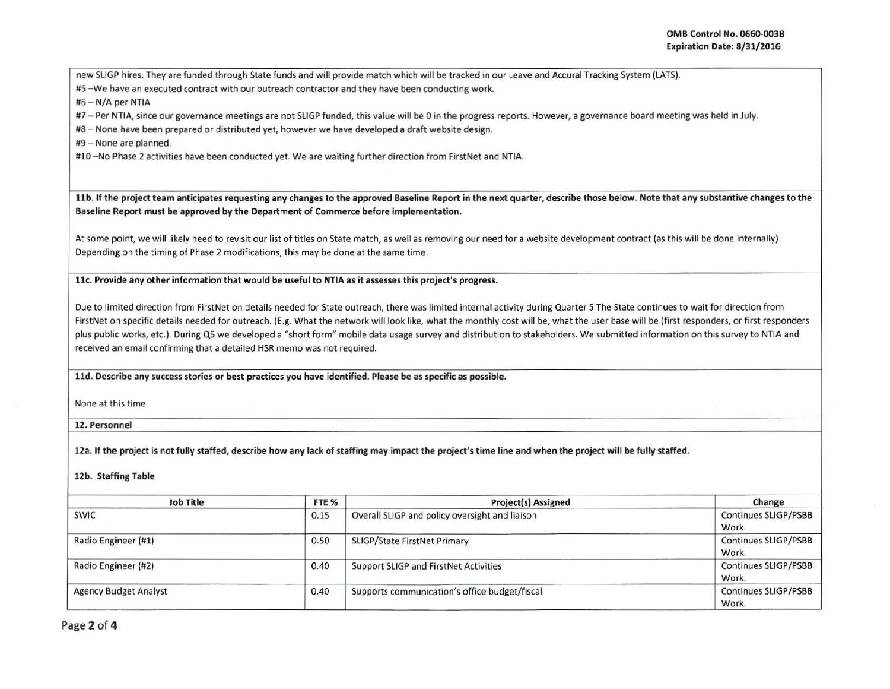new SLIGP hires. They are funded through State funds and will provide match which will be tracked in our Leave and Accural Tracking System (LATS).

#S - We have an executed contract with our outreach contractor and they have been conducting work.

#6 - N/A per NTIA

#7 - Per NTIA, since our governance meetings are not SLIGP funded, this value will be 0 in the progress reports. However, a governance board meeting was held in July.

#8- None have been prepared or distributed yet, however we have developed a draft website design.

#9 - None are planned.

#10 - No Phase 2 activities have been conducted yet. We are waiting further direction from FirstNet and NTIA.

11b. If the project team anticipates requesting any changes to the approved Baseline Report in the next quarter, describe those below. Note that any substantive changes to the Baseline Report must be approved by the Department of Commerce before implementation.

At some point, we will likely need to revisit our list of titles on State match, as well as removing our need for a website development contract (as this will be done internally). Depending on the timing of Phase 2 modifications, this may be done at the same time.

11c. Provide any other information that would be useful to NTIA as it assesses this project's progress.

Due to limited direction from FirstNet on details needed for State outreach, there was limited internal activity during Quarter 5 The State continues to wait for direction from FirstNet on specific details needed for outreach. (E.g. What the network will look like, what the monthly cost will be, what the user base will be (first responders, or first responders plus public works, etc.). During QS we developed a "short form" mobile data usage survey and distribution to stakeholders. We submitted information on this survey to NTIA and received an email confirming that a detailed HSR memo was not required.

11d. Describe any success stories or best practices you have identified. Please be as specific as possible.

None at this time.

12. Personnel

12a. If the project is not fully staffed, describe how any lack of staffing may impact the project's time line and when the project will be fully staffed.

## 12b. Staffing Table

| <b>Job Title</b>             | FTE <sub>%</sub> | Project(s) Assigned                            | Change                               |
|------------------------------|------------------|------------------------------------------------|--------------------------------------|
| <b>SWIC</b>                  | 0.15             | Overall SLIGP and policy oversight and liaison | Continues SLIGP/PSBB<br>Work.        |
| Radio Engineer (#1)          | 0.50             | <b>SLIGP/State FirstNet Primary</b>            | Continues SLIGP/PSBB<br>Work.        |
| Radio Engineer (#2)          | 0.40             | <b>Support SLIGP and FirstNet Activities</b>   | Continues SLIGP/PSBB<br>Work.        |
| <b>Agency Budget Analyst</b> | 0.40             | Supports communication's office budget/fiscal  | <b>Continues SLIGP/PSBB</b><br>Work. |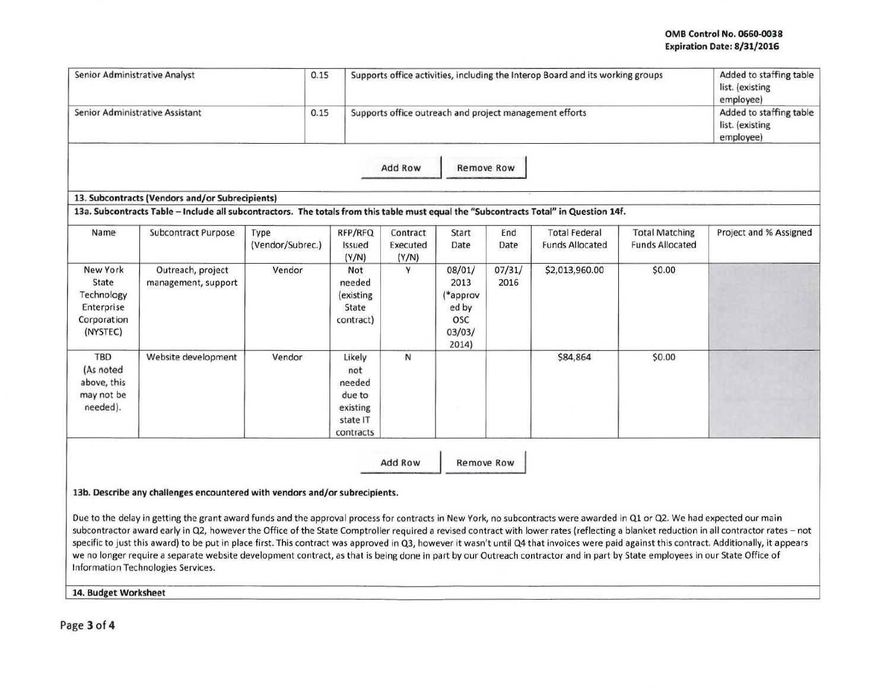## OMB Control No. 0660-0038 Expiration Date: 8/31/2016

| Senior Administrative Analyst                                            |                                                                                                                                       | 0.15                     |                                                                        |                               |                                                               |                   | Supports office activities, including the Interop Board and its working groups |                                                 | Added to staffing table<br>list. (existing<br>employee) |
|--------------------------------------------------------------------------|---------------------------------------------------------------------------------------------------------------------------------------|--------------------------|------------------------------------------------------------------------|-------------------------------|---------------------------------------------------------------|-------------------|--------------------------------------------------------------------------------|-------------------------------------------------|---------------------------------------------------------|
|                                                                          | Senior Administrative Assistant                                                                                                       | 0.15                     |                                                                        |                               |                                                               |                   | Supports office outreach and project management efforts                        |                                                 | Added to staffing table<br>list. (existing<br>employee) |
|                                                                          |                                                                                                                                       |                          |                                                                        | Add Row                       |                                                               | <b>Remove Row</b> |                                                                                |                                                 |                                                         |
|                                                                          | 13. Subcontracts (Vendors and/or Subrecipients)                                                                                       |                          |                                                                        |                               |                                                               |                   |                                                                                |                                                 |                                                         |
|                                                                          | 13a. Subcontracts Table - Include all subcontractors. The totals from this table must equal the "Subcontracts Total" in Question 14f. |                          |                                                                        |                               |                                                               |                   |                                                                                |                                                 |                                                         |
| Name                                                                     | Subcontract Purpose                                                                                                                   | Type<br>(Vendor/Subrec.) | RFP/RFQ<br>Issued<br>(Y/N)                                             | Contract<br>Executed<br>(Y/N) | Start<br>Date                                                 | End<br>Date       | <b>Total Federal</b><br><b>Funds Allocated</b>                                 | <b>Total Matching</b><br><b>Funds Allocated</b> | Project and % Assigned                                  |
| New York<br>State<br>Technology<br>Enterprise<br>Corporation<br>(NYSTEC) | Outreach, project<br>management, support                                                                                              | Vendor                   | Not<br>needed<br>(existing<br>State<br>contract)                       | Y                             | 08/01/<br>2013<br>(*approv<br>ed by<br>OSC<br>03/03/<br>2014) | 07/31/<br>2016    | \$2,013,960.00                                                                 | \$0.00                                          |                                                         |
| TBD<br>(As noted<br>above, this<br>may not be<br>needed).                | Website development                                                                                                                   | Vendor                   | Likely<br>not<br>needed<br>due to<br>existing<br>state IT<br>contracts | N                             |                                                               |                   | \$84,864                                                                       | \$0.00                                          |                                                         |
|                                                                          | 13b. Describe any challenges encountered with vendors and/or subrecipients.                                                           |                          |                                                                        | Add Row                       |                                                               | <b>Remove Row</b> |                                                                                |                                                 |                                                         |

Due to the delay in getting the grant award funds and the approval process for contracts in New York, no subcontracts were awarded in Q1 or Q2. We had expected our main

subcontractor award early in Q2, however the Office of the State Comptroller required a revised contract with lower rates (reflecting a blanket reduction in all contractor rates - not specific to just this award) to be put in place first. This contract was approved in Q3, however it wasn't until Q4 that invoices were paid against this contract. Additionally, it appears we no longer require a separate website development contract, as that is being done in part by our Outreach contractor and in part by State employees in our State Office of Information Technologies Services.

14. Budget Worksheet